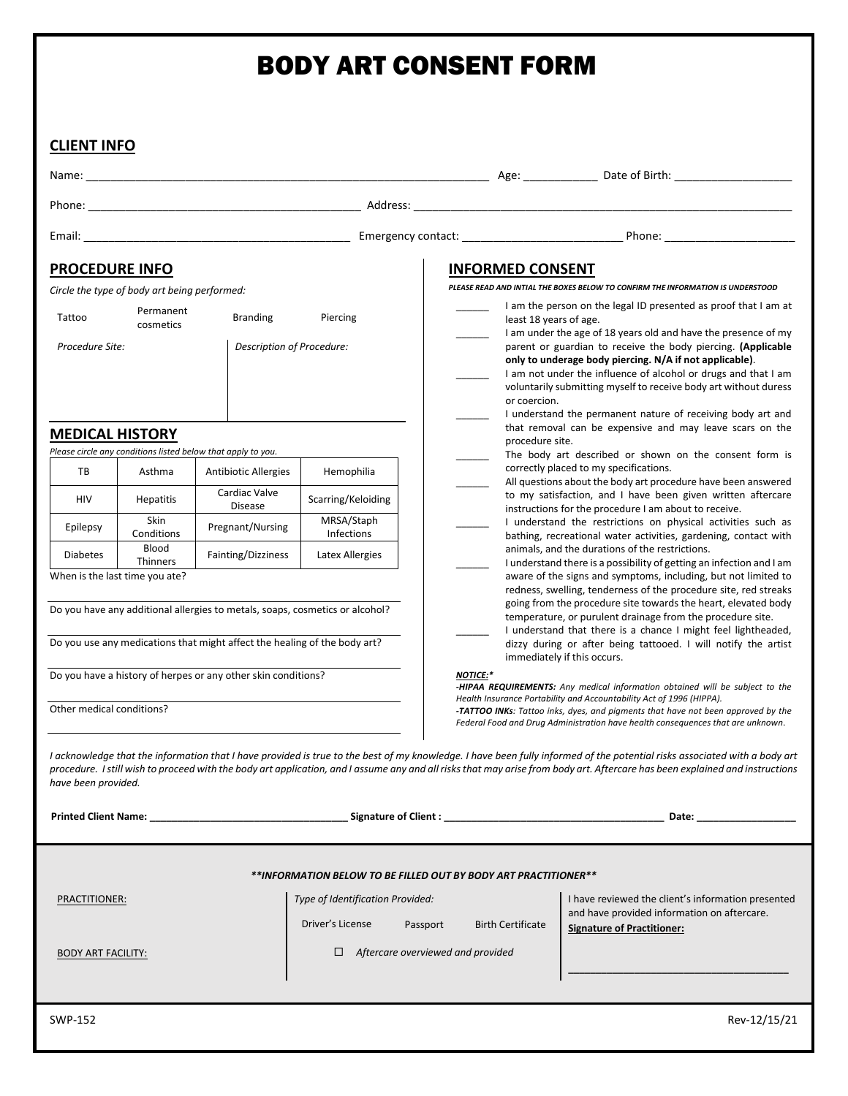# BODY ART CONSENT FORM

### **CLIENT INFO**

Name: \_\_\_\_\_\_\_\_\_\_\_\_\_\_\_\_\_\_\_\_\_\_\_\_\_\_\_\_\_\_\_\_\_\_\_\_\_\_\_\_\_\_\_\_\_\_\_\_\_\_\_\_\_\_\_\_\_\_\_\_\_\_\_\_\_ Age: \_\_\_\_\_\_\_\_\_\_\_\_ Date of Birth: \_\_\_\_\_\_\_\_\_\_\_\_\_\_\_\_\_\_\_

Phone: \_\_\_\_\_\_\_\_\_\_\_\_\_\_\_\_\_\_\_\_\_\_\_\_\_\_\_\_\_\_\_\_\_\_\_\_\_\_\_\_\_\_\_\_ Address: \_\_\_\_\_\_\_\_\_\_\_\_\_\_\_\_\_\_\_\_\_\_\_\_\_\_\_\_\_\_\_\_\_\_\_\_\_\_\_\_\_\_\_\_\_\_\_\_\_\_\_\_\_\_\_\_\_\_\_\_\_

Email: \_\_\_\_\_\_\_\_\_\_\_\_\_\_\_\_\_\_\_\_\_\_\_\_\_\_\_\_\_\_\_\_\_\_\_\_\_\_\_\_\_\_\_ Emergency contact: \_\_\_\_\_\_\_\_\_\_\_\_\_\_\_\_\_\_\_\_\_\_\_\_\_\_ Phone: \_\_\_\_\_\_\_\_\_\_\_\_\_\_\_\_\_\_\_\_\_

### **PROCEDURE INFO**

*Circle the type of body art being performed:*

| Tattoo          | Permanent<br>cosmetics | <b>Branding</b>           | Piercing |
|-----------------|------------------------|---------------------------|----------|
| Procedure Site: |                        | Description of Procedure: |          |
|                 |                        |                           |          |

#### **MEDICAL HISTORY**

*Please circle any conditions listed below that apply to you.*

| ТB              | Asthma                          | <b>Antibiotic Allergies</b>     | Hemophilia               |
|-----------------|---------------------------------|---------------------------------|--------------------------|
| <b>HIV</b>      | <b>Hepatitis</b>                | Cardiac Valve<br><b>Disease</b> | Scarring/Keloiding       |
| Epilepsy        | Skin<br>Conditions              | Pregnant/Nursing                | MRSA/Staph<br>Infections |
| <b>Diabetes</b> | <b>Blood</b><br><b>Thinners</b> | Fainting/Dizziness              | Latex Allergies          |

When is the last time you ate?

Do you have any additional allergies to metals, soaps, cosmetics or alcohol?

Do you use any medications that might affect the healing of the body art?

Do you have a history of herpes or any other skin conditions?

Other medical conditions?

# **INFORMED CONSENT** *PLEASE READ AND INTIAL THE BOXES BELOW TO CONFIRM THE INFORMATION IS UNDERSTOOD*

I am the person on the legal ID presented as proof that I am at

- least 18 years of age. I am under the age of 18 years old and have the presence of my parent or guardian to receive the body piercing. **(Applicable only to underage body piercing. N/A if not applicable)**.
- I am not under the influence of alcohol or drugs and that I am voluntarily submitting myself to receive body art without duress or coercion.
- I understand the permanent nature of receiving body art and that removal can be expensive and may leave scars on the procedure site.
- The body art described or shown on the consent form is correctly placed to my specifications.
- All questions about the body art procedure have been answered to my satisfaction, and I have been given written aftercare instructions for the procedure I am about to receive.
- I understand the restrictions on physical activities such as bathing, recreational water activities, gardening, contact with animals, and the durations of the restrictions.
- I understand there is a possibility of getting an infection and I am aware of the signs and symptoms, including, but not limited to redness, swelling, tenderness of the procedure site, red streaks going from the procedure site towards the heart, elevated body temperature, or purulent drainage from the procedure site.
- I understand that there is a chance I might feel lightheaded, dizzy during or after being tattooed. I will notify the artist immediately if this occurs.

#### *NOTICE:\**

*-HIPAA REQUIREMENTS: Any medical information obtained will be subject to the Health Insurance Portability and Accountability Act of 1996 (HIPPA). -TATTOO INKs: Tattoo inks, dyes, and pigments that have not been approved by the* 

*Federal Food and Drug Administration have health consequences that are unknown*.

*I acknowledge that the information that I have provided is true to the best of my knowledge. I have been fully informed of the potential risks associated with a body art procedure. I still wish to proceed with the body art application, and I assume any and all risks that may arise from body art. Aftercare has been explained and instructions have been provided.*

**Printed Client Name: \_\_\_\_\_\_\_\_\_\_\_\_\_\_\_\_\_\_\_\_\_\_\_\_\_\_\_\_\_\_\_\_\_\_\_\_ Signature of Client : \_\_\_\_\_\_\_\_\_\_\_\_\_\_\_\_\_\_\_\_\_\_\_\_\_\_\_\_\_\_\_\_\_\_\_\_\_\_\_\_ Date: \_\_\_\_\_\_\_\_\_\_\_\_\_\_\_\_\_\_**

*\*\*INFORMATION BELOW TO BE FILLED OUT BY BODY ART PRACTITIONER\*\**

*Type of Identification Provided:*

Driver's License Passport Birth Certificate

BODY ART FACILITY:

PRACTITIONER:

 *Aftercare overviewed and provided*

I have reviewed the client's information presented and have provided information on aftercare. **Signature of Practitioner:** 

**\_\_\_\_\_\_\_\_\_\_\_\_\_\_\_\_\_\_\_\_\_\_\_\_\_\_\_\_\_\_\_\_\_\_\_\_\_\_\_\_**